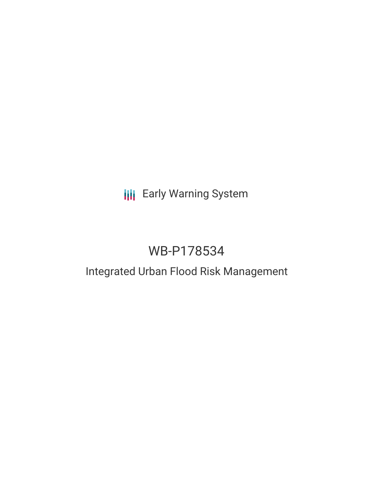## **III** Early Warning System

# WB-P178534

## Integrated Urban Flood Risk Management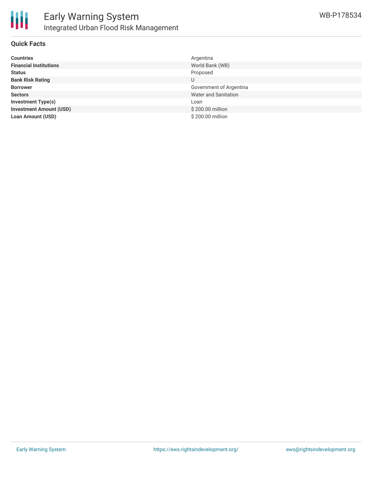

#### **Quick Facts**

| <b>Countries</b>               | Argentina               |
|--------------------------------|-------------------------|
| <b>Financial Institutions</b>  | World Bank (WB)         |
| <b>Status</b>                  | Proposed                |
| <b>Bank Risk Rating</b>        | U                       |
| <b>Borrower</b>                | Government of Argentina |
| <b>Sectors</b>                 | Water and Sanitation    |
| <b>Investment Type(s)</b>      | Loan                    |
| <b>Investment Amount (USD)</b> | \$200.00 million        |
| <b>Loan Amount (USD)</b>       | \$200.00 million        |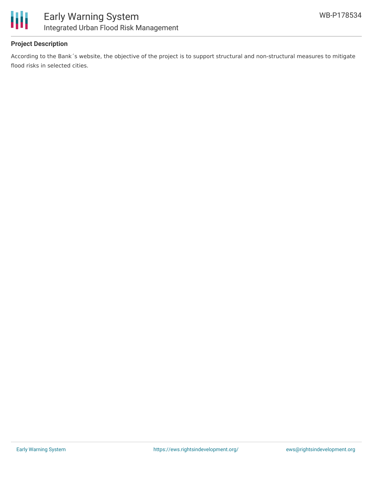

### **Project Description**

According to the Bank´s website, the objective of the project is to support structural and non-structural measures to mitigate flood risks in selected cities.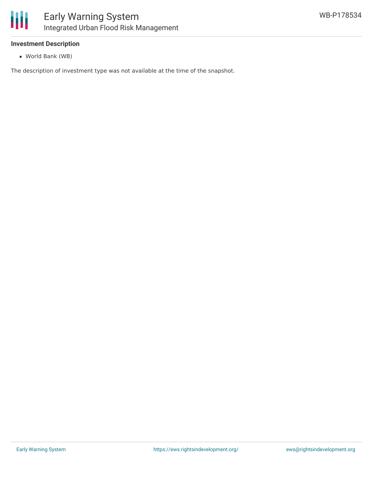

#### **Investment Description**

World Bank (WB)

The description of investment type was not available at the time of the snapshot.